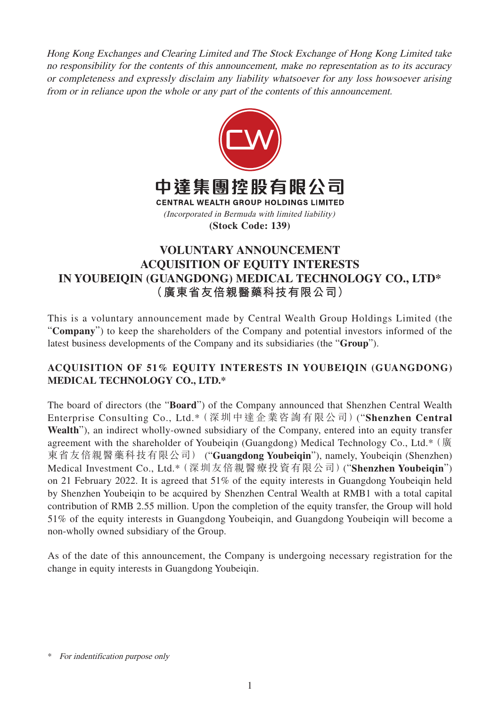Hong Kong Exchanges and Clearing Limited and The Stock Exchange of Hong Kong Limited take no responsibility for the contents of this announcement, make no representation as to its accuracy or completeness and expressly disclaim any liability whatsoever for any loss howsoever arising from or in reliance upon the whole or any part of the contents of this announcement.



## **VOLUNTARY ANNOUNCEMENT ACQUISITION OF EQUITY INTERESTS IN YOUBEIQIN (GUANGDONG) MEDICAL TECHNOLOGY CO., LTD\* (廣東省友倍親醫藥科技有限公司)**

This is a voluntary announcement made by Central Wealth Group Holdings Limited (the "**Company**") to keep the shareholders of the Company and potential investors informed of the latest business developments of the Company and its subsidiaries (the "**Group**").

## **ACQUISITION OF 51% EQUITY INTERESTS IN YOUBEIQIN (GUANGDONG) MEDICAL TECHNOLOGY CO., LTD.\***

The board of directors (the "**Board**") of the Company announced that Shenzhen Central Wealth Enterprise Consulting Co., Ltd.\*(深圳中達企業咨詢有限公司)("**Shenzhen Central Wealth**"), an indirect wholly-owned subsidiary of the Company, entered into an equity transfer agreement with the shareholder of Youbeiqin (Guangdong) Medical Technology Co., Ltd.\* (廣 東省友倍親醫藥科技有限公司) ("**Guangdong Youbeiqin**"), namely, Youbeiqin (Shenzhen) Medical Investment Co., Ltd.\*(深圳友倍親醫療投資有限公司)("**Shenzhen Youbeiqin**") on 21 February 2022. It is agreed that 51% of the equity interests in Guangdong Youbeiqin held by Shenzhen Youbeiqin to be acquired by Shenzhen Central Wealth at RMB1 with a total capital contribution of RMB 2.55 million. Upon the completion of the equity transfer, the Group will hold 51% of the equity interests in Guangdong Youbeiqin, and Guangdong Youbeiqin will become a non-wholly owned subsidiary of the Group.

As of the date of this announcement, the Company is undergoing necessary registration for the change in equity interests in Guangdong Youbeiqin.

<sup>\*</sup> For indentification purpose only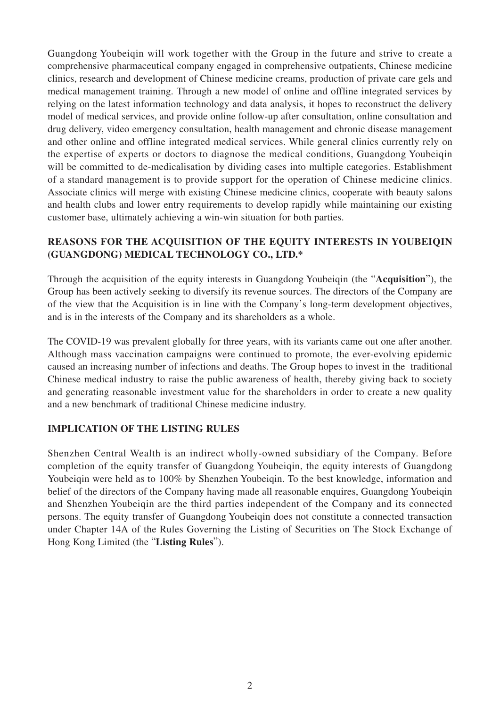Guangdong Youbeiqin will work together with the Group in the future and strive to create a comprehensive pharmaceutical company engaged in comprehensive outpatients, Chinese medicine clinics, research and development of Chinese medicine creams, production of private care gels and medical management training. Through a new model of online and offline integrated services by relying on the latest information technology and data analysis, it hopes to reconstruct the delivery model of medical services, and provide online follow-up after consultation, online consultation and drug delivery, video emergency consultation, health management and chronic disease management and other online and offline integrated medical services. While general clinics currently rely on the expertise of experts or doctors to diagnose the medical conditions, Guangdong Youbeiqin will be committed to de-medicalisation by dividing cases into multiple categories. Establishment of a standard management is to provide support for the operation of Chinese medicine clinics. Associate clinics will merge with existing Chinese medicine clinics, cooperate with beauty salons and health clubs and lower entry requirements to develop rapidly while maintaining our existing customer base, ultimately achieving a win-win situation for both parties.

## **REASONS FOR THE ACQUISITION OF THE EQUITY INTERESTS IN YOUBEIQIN (GUANGDONG) MEDICAL TECHNOLOGY CO., LTD.\***

Through the acquisition of the equity interests in Guangdong Youbeiqin (the "**Acquisition**"), the Group has been actively seeking to diversify its revenue sources. The directors of the Company are of the view that the Acquisition is in line with the Company's long-term development objectives, and is in the interests of the Company and its shareholders as a whole.

The COVID-19 was prevalent globally for three years, with its variants came out one after another. Although mass vaccination campaigns were continued to promote, the ever-evolving epidemic caused an increasing number of infections and deaths. The Group hopes to invest in the traditional Chinese medical industry to raise the public awareness of health, thereby giving back to society and generating reasonable investment value for the shareholders in order to create a new quality and a new benchmark of traditional Chinese medicine industry.

## **IMPLICATION OF THE LISTING RULES**

Shenzhen Central Wealth is an indirect wholly-owned subsidiary of the Company. Before completion of the equity transfer of Guangdong Youbeiqin, the equity interests of Guangdong Youbeiqin were held as to 100% by Shenzhen Youbeiqin. To the best knowledge, information and belief of the directors of the Company having made all reasonable enquires, Guangdong Youbeiqin and Shenzhen Youbeiqin are the third parties independent of the Company and its connected persons. The equity transfer of Guangdong Youbeiqin does not constitute a connected transaction under Chapter 14A of the Rules Governing the Listing of Securities on The Stock Exchange of Hong Kong Limited (the "**Listing Rules**").